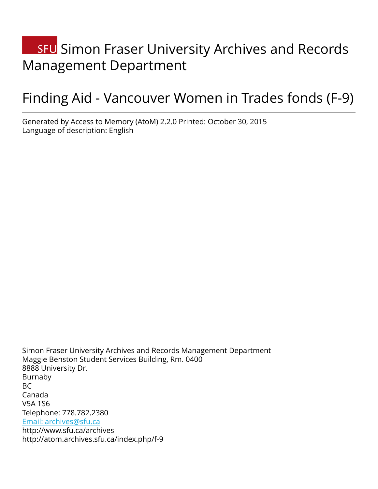# **SFU** Simon Fraser University Archives and Records Management Department

# Finding Aid - Vancouver Women in Trades fonds (F-9)

Generated by Access to Memory (AtoM) 2.2.0 Printed: October 30, 2015 Language of description: English

Simon Fraser University Archives and Records Management Department Maggie Benston Student Services Building, Rm. 0400 8888 University Dr. Burnaby BC Canada V5A 1S6 Telephone: 778.782.2380 [Email: archives@sfu.ca](mailto:Email: archives@sfu.ca) http://www.sfu.ca/archives http://atom.archives.sfu.ca/index.php/f-9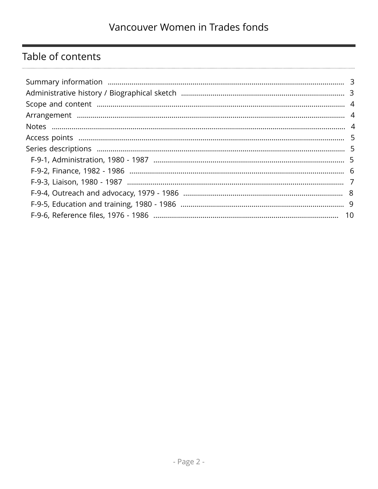# Table of contents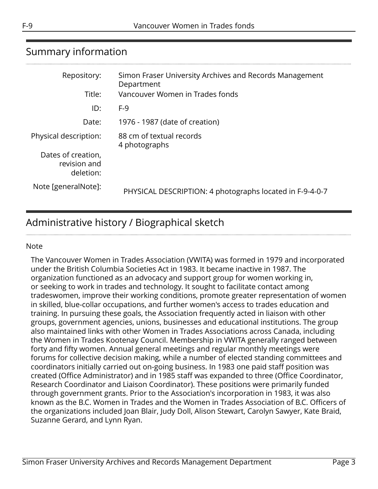# <span id="page-2-0"></span>Summary information

| Repository:                                     | Simon Fraser University Archives and Records Management<br>Department |
|-------------------------------------------------|-----------------------------------------------------------------------|
| Title:                                          | Vancouver Women in Trades fonds                                       |
| ID:                                             | $F-9$                                                                 |
| Date:                                           | 1976 - 1987 (date of creation)                                        |
| Physical description:                           | 88 cm of textual records<br>4 photographs                             |
| Dates of creation,<br>revision and<br>deletion: |                                                                       |
| Note [generalNote]:                             | PHYSICAL DESCRIPTION: 4 photographs located in F-9-4-0-7              |

# <span id="page-2-1"></span>Administrative history / Biographical sketch

#### Note

The Vancouver Women in Trades Association (VWITA) was formed in 1979 and incorporated under the British Columbia Societies Act in 1983. It became inactive in 1987. The organization functioned as an advocacy and support group for women working in, or seeking to work in trades and technology. It sought to facilitate contact among tradeswomen, improve their working conditions, promote greater representation of women in skilled, blue-collar occupations, and further women's access to trades education and training. In pursuing these goals, the Association frequently acted in liaison with other groups, government agencies, unions, businesses and educational institutions. The group also maintained links with other Women in Trades Associations across Canada, including the Women in Trades Kootenay Council. Membership in VWITA generally ranged between forty and fifty women. Annual general meetings and regular monthly meetings were forums for collective decision making, while a number of elected standing committees and coordinators initially carried out on-going business. In 1983 one paid staff position was created (Office Administrator) and in 1985 staff was expanded to three (Office Coordinator, Research Coordinator and Liaison Coordinator). These positions were primarily funded through government grants. Prior to the Association's incorporation in 1983, it was also known as the B.C. Women in Trades and the Women in Trades Association of B.C. Officers of the organizations included Joan Blair, Judy Doll, Alison Stewart, Carolyn Sawyer, Kate Braid, Suzanne Gerard, and Lynn Ryan.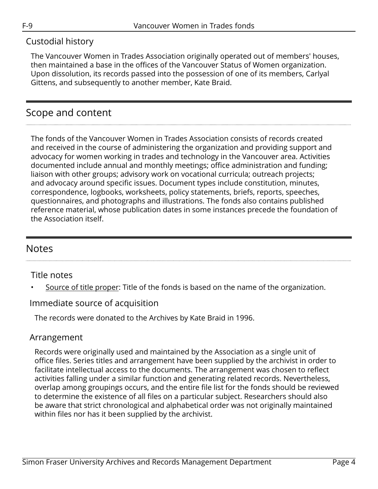# Custodial history

The Vancouver Women in Trades Association originally operated out of members' houses, then maintained a base in the offices of the Vancouver Status of Women organization. Upon dissolution, its records passed into the possession of one of its members, Carlyal Gittens, and subsequently to another member, Kate Braid.

# <span id="page-3-0"></span>Scope and content

The fonds of the Vancouver Women in Trades Association consists of records created and received in the course of administering the organization and providing support and advocacy for women working in trades and technology in the Vancouver area. Activities documented include annual and monthly meetings; office administration and funding; liaison with other groups; advisory work on vocational curricula; outreach projects; and advocacy around specific issues. Document types include constitution, minutes, correspondence, logbooks, worksheets, policy statements, briefs, reports, speeches, questionnaires, and photographs and illustrations. The fonds also contains published reference material, whose publication dates in some instances precede the foundation of the Association itself.

# <span id="page-3-2"></span>**Notes**

# Title notes

Source of title proper: Title of the fonds is based on the name of the organization.

# Immediate source of acquisition

The records were donated to the Archives by Kate Braid in 1996.

# <span id="page-3-1"></span>Arrangement

Records were originally used and maintained by the Association as a single unit of office files. Series titles and arrangement have been supplied by the archivist in order to facilitate intellectual access to the documents. The arrangement was chosen to reflect activities falling under a similar function and generating related records. Nevertheless, overlap among groupings occurs, and the entire file list for the fonds should be reviewed to determine the existence of all files on a particular subject. Researchers should also be aware that strict chronological and alphabetical order was not originally maintained within files nor has it been supplied by the archivist.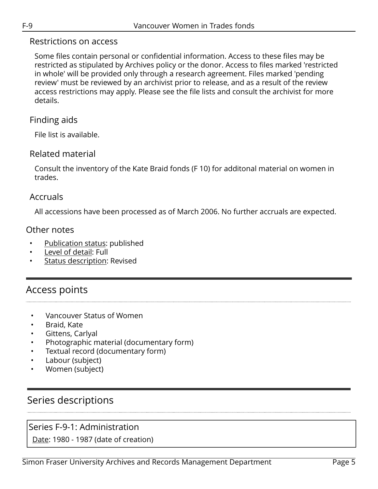## Restrictions on access

Some files contain personal or confidential information. Access to these files may be restricted as stipulated by Archives policy or the donor. Access to files marked 'restricted in whole' will be provided only through a research agreement. Files marked 'pending review' must be reviewed by an archivist prior to release, and as a result of the review access restrictions may apply. Please see the file lists and consult the archivist for more details.

## Finding aids

File list is available.

# Related material

Consult the inventory of the Kate Braid fonds (F 10) for additonal material on women in trades.

## Accruals

All accessions have been processed as of March 2006. No further accruals are expected.

## Other notes

- Publication status: published
- Level of detail: Full
- Status description: Revised

# <span id="page-4-0"></span>Access points

- Vancouver Status of Women
- Braid, Kate
- Gittens, Carlyal
- Photographic material (documentary form)
- Textual record (documentary form)
- Labour (subject)
- Women (subject)

# <span id="page-4-1"></span>Series descriptions

# <span id="page-4-2"></span>Series F-9-1: Administration

Date: 1980 - 1987 (date of creation)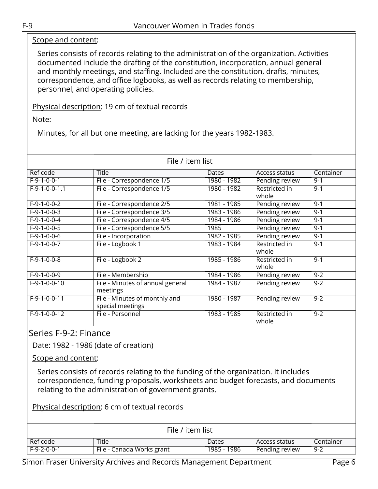### Scope and content:

Series consists of records relating to the administration of the organization. Activities documented include the drafting of the constitution, incorporation, annual general and monthly meetings, and staffing. Included are the constitution, drafts, minutes, correspondence, and office logbooks, as well as records relating to membership, personnel, and operating policies.

Physical description: 19 cm of textual records

Note:

Minutes, for all but one meeting, are lacking for the years 1982-1983.

| File / item list |                                                   |             |                        |           |
|------------------|---------------------------------------------------|-------------|------------------------|-----------|
| Ref code         | Title                                             | Dates       | Access status          | Container |
| $F-9-1-0-0-1$    | File - Correspondence 1/5                         | 1980 - 1982 | Pending review         | $9 - 1$   |
| $F-9-1-0-0-1.1$  | File - Correspondence 1/5                         | 1980 - 1982 | Restricted in<br>whole | $9 - 1$   |
| $F-9-1-0-0-2$    | File - Correspondence 2/5                         | 1981 - 1985 | Pending review         | $9 - 1$   |
| $F-9-1-0-0-3$    | File - Correspondence 3/5                         | 1983 - 1986 | Pending review         | $9 - 1$   |
| $F-9-1-0-0-4$    | File - Correspondence 4/5                         | 1984 - 1986 | Pending review         | $9 - 1$   |
| $F-9-1-0-0-5$    | File - Correspondence 5/5                         | 1985        | Pending review         | $9 - 1$   |
| $F-9-1-0-0-6$    | File - Incorporation                              | 1982 - 1985 | Pending review         | $9 - 1$   |
| $F-9-1-0-0-7$    | File - Logbook 1                                  | 1983 - 1984 | Restricted in<br>whole | $9 - 1$   |
| $F-9-1-0-0-8$    | File - Logbook 2                                  | 1985 - 1986 | Restricted in<br>whole | $9 - 1$   |
| $F-9-1-0-0-9$    | File - Membership                                 | 1984 - 1986 | Pending review         | $9 - 2$   |
| $F-9-1-0-0-10$   | File - Minutes of annual general<br>meetings      | 1984 - 1987 | Pending review         | $9 - 2$   |
| $F-9-1-0-0-11$   | File - Minutes of monthly and<br>special meetings | 1980 - 1987 | Pending review         | $9 - 2$   |
| $F-9-1-0-0-12$   | File - Personnel                                  | 1983 - 1985 | Restricted in<br>whole | $9 - 2$   |

<span id="page-5-0"></span>Series F-9-2: Finance

Date: 1982 - 1986 (date of creation)

Scope and content:

Series consists of records relating to the funding of the organization. It includes correspondence, funding proposals, worksheets and budget forecasts, and documents relating to the administration of government grants.

Physical description: 6 cm of textual records

| File / item list |                           |             |                |           |
|------------------|---------------------------|-------------|----------------|-----------|
| Ref code         | Title                     | Dates       | Access status  | Container |
| $F-9-2-0-0-1$    | File - Canada Works grant | 1985 - 1986 | Pending review | $9 - 2$   |

Simon Fraser University Archives and Records Management Department Page 6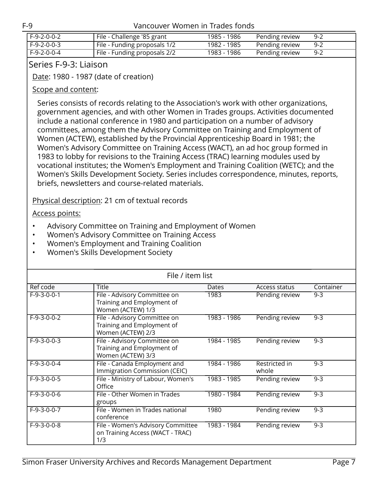| l F-9-2-0-0-2 | File - Challenge '85 grant   | 1985 - 1986 | Pending review | $9 - 2$ |
|---------------|------------------------------|-------------|----------------|---------|
| F-9-2-0-0-3   | File - Funding proposals 1/2 | 1982 - 1985 | Pending review | -9-2    |
| l F-9-2-0-0-4 | File - Funding proposals 2/2 | 1983 - 1986 | Pending review | $9 - 2$ |

## <span id="page-6-0"></span>Series F-9-3: Liaison

Date: 1980 - 1987 (date of creation)

### Scope and content:

Series consists of records relating to the Association's work with other organizations, government agencies, and with other Women in Trades groups. Activities documented include a national conference in 1980 and participation on a number of advisory committees, among them the Advisory Committee on Training and Employment of Women (ACTEW), established by the Provincial Apprenticeship Board in 1981; the Women's Advisory Committee on Training Access (WACT), an ad hoc group formed in 1983 to lobby for revisions to the Training Access (TRAC) learning modules used by vocational institutes; the Women's Employment and Training Coalition (WETC); and the Women's Skills Development Society. Series includes correspondence, minutes, reports, briefs, newsletters and course-related materials.

Physical description: 21 cm of textual records

#### Access points:

- Advisory Committee on Training and Employment of Women
- Women's Advisory Committee on Training Access
- Women's Employment and Training Coalition
- Women's Skills Development Society

| File / item list |                                                                                 |             |                        |           |
|------------------|---------------------------------------------------------------------------------|-------------|------------------------|-----------|
| Ref code         | <b>Title</b>                                                                    | Dates       | Access status          | Container |
| $F-9-3-0-0-1$    | File - Advisory Committee on<br>Training and Employment of<br>Women (ACTEW) 1/3 | 1983        | Pending review         | $9 - 3$   |
| $F-9-3-0-0-2$    | File - Advisory Committee on<br>Training and Employment of<br>Women (ACTEW) 2/3 | 1983 - 1986 | Pending review         | $9 - 3$   |
| $F-9-3-0-0-3$    | File - Advisory Committee on<br>Training and Employment of<br>Women (ACTEW) 3/3 | 1984 - 1985 | Pending review         | $9 - 3$   |
| $F-9-3-0-0-4$    | File - Canada Employment and<br>Immigration Commission (CEIC)                   | 1984 - 1986 | Restricted in<br>whole | $9 - 3$   |
| $F-9-3-0-0-5$    | File - Ministry of Labour, Women's<br>Office                                    | 1983 - 1985 | Pending review         | $9 - 3$   |
| $F-9-3-0-0-6$    | File - Other Women in Trades<br>groups                                          | 1980 - 1984 | Pending review         | $9 - 3$   |
| $F-9-3-0-0-7$    | File - Women in Trades national<br>conference                                   | 1980        | Pending review         | $9 - 3$   |
| $F-9-3-0-0-8$    | File - Women's Advisory Committee<br>on Training Access (WACT - TRAC)<br>1/3    | 1983 - 1984 | Pending review         | $9 - 3$   |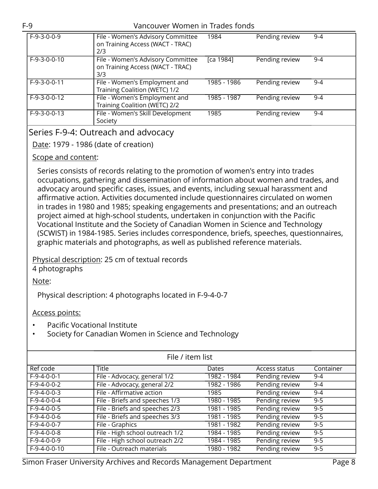#### F-9 Vancouver Women in Trades fonds

| $F-9-3-0-0-9$  | File - Women's Advisory Committee<br>on Training Access (WACT - TRAC)<br>2/3 | 1984        | Pending review | $9 - 4$ |
|----------------|------------------------------------------------------------------------------|-------------|----------------|---------|
| $F-9-3-0-0-10$ | File - Women's Advisory Committee<br>on Training Access (WACT - TRAC)<br>3/3 | [ca 1984]   | Pending review | $9 - 4$ |
| $F-9-3-0-0-11$ | File - Women's Employment and<br>Training Coalition (WETC) 1/2               | 1985 - 1986 | Pending review | $9 - 4$ |
| $F-9-3-0-0-12$ | File - Women's Employment and<br>Training Coalition (WETC) 2/2               | 1985 - 1987 | Pending review | $9 - 4$ |
| $F-9-3-0-0-13$ | File - Women's Skill Development<br>Society                                  | 1985        | Pending review | $9 - 4$ |

## <span id="page-7-0"></span>Series F-9-4: Outreach and advocacy

Date: 1979 - 1986 (date of creation)

### Scope and content:

Series consists of records relating to the promotion of women's entry into trades occupations, gathering and dissemination of information about women and trades, and advocacy around specific cases, issues, and events, including sexual harassment and affirmative action. Activities documented include questionnaires circulated on women in trades in 1980 and 1985; speaking engagements and presentations; and an outreach project aimed at high-school students, undertaken in conjunction with the Pacific Vocational Institute and the Society of Canadian Women in Science and Technology (SCWIST) in 1984-1985. Series includes correspondence, briefs, speeches, questionnaires, graphic materials and photographs, as well as published reference materials.

Physical description: 25 cm of textual records

4 photographs

Note:

Physical description: 4 photographs located in F-9-4-0-7

## Access points:

- Pacific Vocational Institute
- Society for Canadian Women in Science and Technology

| File / item list |                                 |             |                      |           |
|------------------|---------------------------------|-------------|----------------------|-----------|
| Ref code         | <b>Title</b>                    | Dates       | <b>Access status</b> | Container |
| $F-9-4-0-0-1$    | File - Advocacy, general 1/2    | 1982 - 1984 | Pending review       | $9 - 4$   |
| $F-9-4-0-0-2$    | File - Advocacy, general 2/2    | 1982 - 1986 | Pending review       | $9 - 4$   |
| $F-9-4-0-0-3$    | File - Affirmative action       | 1985        | Pending review       | 9-4       |
| $F-9-4-0-0-4$    | File - Briefs and speeches 1/3  | 1980 - 1985 | Pending review       | $9 - 5$   |
| $F-9-4-0-0-5$    | File - Briefs and speeches 2/3  | 1981 - 1985 | Pending review       | $9 - 5$   |
| $F-9-4-0-0-6$    | File - Briefs and speeches 3/3  | 1981 - 1985 | Pending review       | $9 - 5$   |
| $F-9-4-0-0-7$    | File - Graphics                 | 1981 - 1982 | Pending review       | $9 - 5$   |
| $F-9-4-0-0-8$    | File - High school outreach 1/2 | 1984 - 1985 | Pending review       | $9 - 5$   |
| $F-9-4-0-0-9$    | File - High school outreach 2/2 | 1984 - 1985 | Pending review       | $9 - 5$   |
| F-9-4-0-0-10     | File - Outreach materials       | 1980 - 1982 | Pending review       | $9 - 5$   |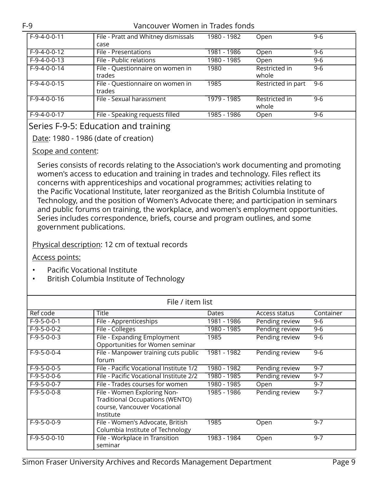#### F-9 Vancouver Women in Trades fonds

| $F-9-4-0-0-11$ | File - Pratt and Whitney dismissals | 1980 - 1982 | Open               | $9 - 6$ |
|----------------|-------------------------------------|-------------|--------------------|---------|
|                | case                                |             |                    |         |
| $F-9-4-0-0-12$ | File - Presentations                | 1981 - 1986 | Open               | $9-6$   |
| $F-9-4-0-0-13$ | File - Public relations             | 1980 - 1985 | Open               | $9-6$   |
| $F-9-4-0-0-14$ | File - Questionnaire on women in    | 1980        | Restricted in      | $9 - 6$ |
|                | trades                              |             | whole              |         |
| $F-9-4-0-0-15$ | File - Questionnaire on women in    | 1985        | Restricted in part | 9-6     |
|                | trades                              |             |                    |         |
| $F-9-4-0-0-16$ | File - Sexual harassment            | 1979 - 1985 | Restricted in      | $9 - 6$ |
|                |                                     |             | whole              |         |
| $F-9-4-0-0-17$ | File - Speaking requests filled     | 1985 - 1986 | Open               | $9 - 6$ |

# <span id="page-8-0"></span>Series F-9-5: Education and training

## Date: 1980 - 1986 (date of creation)

#### Scope and content:

Series consists of records relating to the Association's work documenting and promoting women's access to education and training in trades and technology. Files reflect its concerns with apprenticeships and vocational programmes; activities relating to the Pacific Vocational Institute, later reorganized as the British Columbia Institute of Technology, and the position of Women's Advocate there; and participation in seminars and public forums on training, the workplace, and women's employment opportunities. Series includes correspondence, briefs, course and program outlines, and some government publications.

#### Physical description: 12 cm of textual records

#### Access points:

- Pacific Vocational Institute
- British Columbia Institute of Technology

| File / item list |                                                                                                                    |             |                |           |
|------------------|--------------------------------------------------------------------------------------------------------------------|-------------|----------------|-----------|
| Ref code         | Title                                                                                                              | Dates       | Access status  | Container |
| $F-9-5-0-0-1$    | File - Apprenticeships                                                                                             | 1981 - 1986 | Pending review | $9-6$     |
| $F-9-5-0-0-2$    | File - Colleges                                                                                                    | 1980 - 1985 | Pending review | 9-6       |
| $F-9-5-0-0-3$    | File - Expanding Employment<br>Opportunities for Women seminar                                                     | 1985        | Pending review | $9 - 6$   |
| $F-9-5-0-0-4$    | File - Manpower training cuts public<br>forum                                                                      | 1981 - 1982 | Pending review | $9 - 6$   |
| $F-9-5-0-0-5$    | File - Pacific Vocational Institute 1/2                                                                            | 1980 - 1982 | Pending review | $9 - 7$   |
| $F-9-5-0-0-6$    | File - Pacific Vocational Institute 2/2                                                                            | 1980 - 1985 | Pending review | $9 - 7$   |
| $F-9-5-0-0-7$    | File - Trades courses for women                                                                                    | 1980 - 1985 | Open           | $9 - 7$   |
| $F-9-5-0-0-8$    | File - Women Exploring Non-<br><b>Traditional Occupations (WENTO)</b><br>course, Vancouver Vocational<br>Institute | 1985 - 1986 | Pending review | $9 - 7$   |
| $F-9-5-0-0-9$    | File - Women's Advocate, British<br>Columbia Institute of Technology                                               | 1985        | Open           | $9 - 7$   |
| $F-9-5-0-0-10$   | File - Workplace in Transition<br>seminar                                                                          | 1983 - 1984 | Open           | $9 - 7$   |